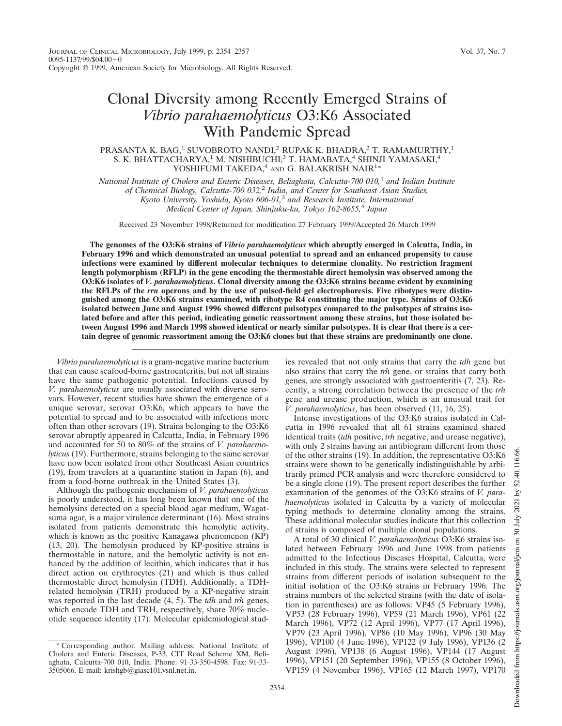## Clonal Diversity among Recently Emerged Strains of *Vibrio parahaemolyticus* O3:K6 Associated With Pandemic Spread

## PRASANTA K. BAG,<sup>1</sup> SUVOBROTO NANDI,<sup>2</sup> RUPAK K. BHADRA,<sup>2</sup> T. RAMAMURTHY,<sup>1</sup> S. K. BHATTACHARYA, $^1$  M. NISHIBUCHI, $^3$  T. HAMABATA, $^4$  SHINJI YAMASAKI, $^4$ YOSHIFUMI TAKEDA,<sup>4</sup> AND G. BALAKRISH NAIR<sup>1\*</sup>

*National Institute of Cholera and Enteric Diseases, Beliaghata, Calcutta-700 010,*<sup>1</sup> *and Indian Institute of Chemical Biology, Calcutta-700 032,*<sup>2</sup> *India, and Center for Southeast Asian Studies, Kyoto University, Yoshida, Kyoto 606-01,*<sup>3</sup> *and Research Institute, International Medical Center of Japan, Shinjuku-ku, Tokyo 162-8655,*<sup>4</sup> *Japan*

Received 23 November 1998/Returned for modification 27 February 1999/Accepted 26 March 1999

**The genomes of the O3:K6 strains of** *Vibrio parahaemolyticus* **which abruptly emerged in Calcutta, India, in February 1996 and which demonstrated an unusual potential to spread and an enhanced propensity to cause infections were examined by different molecular techniques to determine clonality. No restriction fragment length polymorphism (RFLP) in the gene encoding the thermostable direct hemolysin was observed among the O3:K6 isolates of** *V. parahaemolyticus***. Clonal diversity among the O3:K6 strains became evident by examining the RFLPs of the** *rrn* **operons and by the use of pulsed-field gel electrophoresis. Five ribotypes were distinguished among the O3:K6 strains examined, with ribotype R4 constituting the major type. Strains of O3:K6 isolated between June and August 1996 showed different pulsotypes compared to the pulsotypes of strains isolated before and after this period, indicating genetic reassortment among these strains, but those isolated between August 1996 and March 1998 showed identical or nearly similar pulsotypes. It is clear that there is a certain degree of genomic reassortment among the O3:K6 clones but that these strains are predominantly one clone.**

*Vibrio parahaemolyticus* is a gram-negative marine bacterium that can cause seafood-borne gastroenteritis, but not all strains have the same pathogenic potential. Infections caused by *V. parahaemolyticus* are usually associated with diverse serovars. However, recent studies have shown the emergence of a unique serovar, serovar O3:K6, which appears to have the potential to spread and to be associated with infections more often than other serovars (19). Strains belonging to the O3:K6 serovar abruptly appeared in Calcutta, India, in February 1996 and accounted for 50 to 80% of the strains of *V. parahaemolyticus* (19). Furthermore, strains belonging to the same serovar have now been isolated from other Southeast Asian countries (19), from travelers at a quarantine station in Japan (6), and from a food-borne outbreak in the United States (3).

Although the pathogenic mechanism of *V. parahaemolyticus* is poorly understood, it has long been known that one of the hemolysins detected on a special blood agar medium, Wagatsuma agar, is a major virulence determinant (16). Most strains isolated from patients demonstrate this hemolytic activity, which is known as the positive Kanagawa phenomenon (KP) (13, 20). The hemolysin produced by KP-positive strains is thermostable in nature, and the hemolytic activity is not enhanced by the addition of lecithin, which indicates that it has direct action on erythrocytes (21) and which is thus called thermostable direct hemolysin (TDH). Additionally, a TDHrelated hemolysin (TRH) produced by a KP-negative strain was reported in the last decade (4, 5). The *tdh* and *trh* genes, which encode TDH and TRH, respectively, share 70% nucleotide sequence identity (17). Molecular epidemiological studies revealed that not only strains that carry the *tdh* gene but also strains that carry the *trh* gene, or strains that carry both genes, are strongly associated with gastroenteritis (7, 23). Recently, a strong correlation between the presence of the *trh* gene and urease production, which is an unusual trait for *V. parahaemolyticus*, has been observed (11, 16, 25).

Intense investigations of the O3:K6 strains isolated in Calcutta in 1996 revealed that all 61 strains examined shared identical traits (*tdh* positive, *trh* negative, and urease negative), with only 2 strains having an antibiogram different from those of the other strains (19). In addition, the representative O3:K6 strains were shown to be genetically indistinguishable by arbitrarily primed PCR analysis and were therefore considered to be a single clone (19). The present report describes the further examination of the genomes of the O3:K6 strains of *V. parahaemolyticus* isolated in Calcutta by a variety of molecular typing methods to determine clonality among the strains. These additional molecular studies indicate that this collection of strains is composed of multiple clonal populations.

A total of 30 clinical *V. parahaemolyticus* O3:K6 strains isolated between February 1996 and June 1998 from patients admitted to the Infectious Diseases Hospital, Calcutta, were included in this study. The strains were selected to represent strains from different periods of isolation subsequent to the initial isolation of the O3:K6 strains in February 1996. The strains numbers of the selected strains (with the date of isolation in parentheses) are as follows: VP45 (5 February 1996), VP53 (28 February 1996), VP59 (21 March 1996), VP61 (22 March 1996), VP72 (12 April 1996), VP77 (17 April 1996), VP79 (23 April 1996), VP86 (10 May 1996), VP96 (30 May 1996), VP100 (4 June 1996), VP122 (9 July 1996), VP136 (2 August 1996), VP138 (6 August 1996), VP144 (17 August 1996), VP151 (20 September 1996), VP155 (8 October 1996), VP159 (4 November 1996), VP165 (12 March 1997), VP170

<sup>\*</sup> Corresponding author. Mailing address: National Institute of Cholera and Enteric Diseases, P-33, CIT Road Scheme XM, Beliaghata, Calcutta-700 010, India. Phone: 91-33-350-4598. Fax: 91-33- 3505066. E-mail: krishgb@giasc101.vsnl.net.in.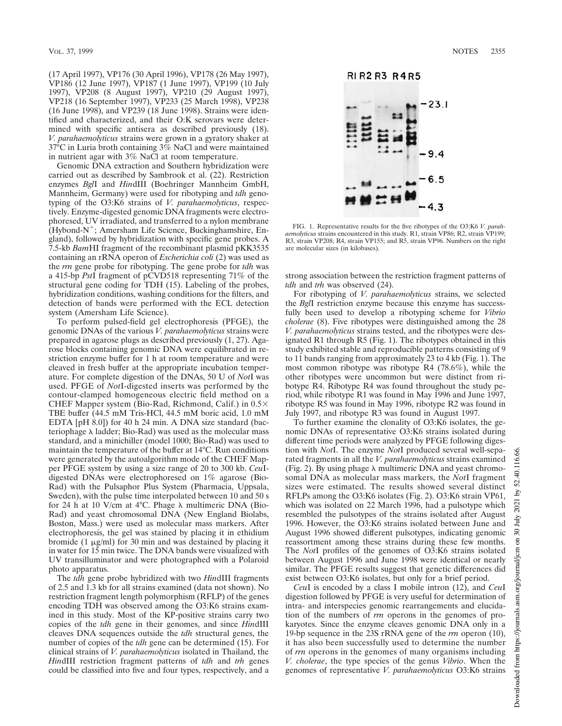(17 April 1997), VP176 (30 April 1996), VP178 (26 May 1997), VP186 (12 June 1997), VP187 (1 June 1997), VP199 (10 July 1997), VP208 (8 August 1997), VP210 (29 August 1997), VP218 (16 September 1997), VP233 (25 March 1998), VP238 (16 June 1998), and VP239 (18 June 1998). Strains were identified and characterized, and their O:K serovars were determined with specific antisera as described previously (18). *V. parahaemolyticus* strains were grown in a gyratory shaker at 37°C in Luria broth containing 3% NaCl and were maintained in nutrient agar with 3% NaCl at room temperature.

Genomic DNA extraction and Southern hybridization were carried out as described by Sambrook et al. (22). Restriction enzymes *Bgl*I and *Hin*dIII (Boehringer Mannheim GmbH, Mannheim, Germany) were used for ribotyping and *tdh* genotyping of the O3:K6 strains of *V. parahaemolyticus*, respectively. Enzyme-digested genomic DNA fragments were electrophoresed, UV irradiated, and transferred to a nylon membrane (Hybond-N<sup>+</sup>; Amersham Life Science, Buckinghamshire, England), followed by hybridization with specific gene probes. A 7.5-kb *Bam*HI fragment of the recombinant plasmid pKK3535 containing an rRNA operon of *Escherichia coli* (2) was used as the *rrn* gene probe for ribotyping. The gene probe for *tdh* was a 415-bp *Pst*I fragment of pCVD518 representing 71% of the structural gene coding for TDH (15). Labeling of the probes, hybridization conditions, washing conditions for the filters, and detection of bands were performed with the ECL detection system (Amersham Life Science).

To perform pulsed-field gel electrophoresis (PFGE), the genomic DNAs of the various *V. parahaemolyticus* strains were prepared in agarose plugs as described previously (1, 27). Agarose blocks containing genomic DNA were equilibrated in restriction enzyme buffer for 1 h at room temperature and were cleaved in fresh buffer at the appropriate incubation temperature. For complete digestion of the DNAs, 50 U of *Not*I was used. PFGE of *Not*I-digested inserts was performed by the contour-clamped homogeneous electric field method on a CHEF Mapper system (Bio-Rad, Richmond, Calif.) in  $0.5\times$ TBE buffer (44.5 mM Tris-HCl, 44.5 mM boric acid, 1.0 mM EDTA [pH 8.0]) for 40 h 24 min. A DNA size standard (bacteriophage  $\lambda$  ladder; Bio-Rad) was used as the molecular mass standard, and a minichiller (model 1000; Bio-Rad) was used to maintain the temperature of the buffer at 14°C. Run conditions were generated by the autoalgorithm mode of the CHEF Mapper PFGE system by using a size range of 20 to 300 kb. *Ceu*Idigested DNAs were electrophoresed on 1% agarose (Bio-Rad) with the Pulsaphor Plus System (Pharmacia, Uppsala, Sweden), with the pulse time interpolated between 10 and 50 s for 24 h at 10 V/cm at 4 $\degree$ C. Phage  $\lambda$  multimeric DNA (Bio-Rad) and yeast chromosomal DNA (New England Biolabs, Boston, Mass.) were used as molecular mass markers. After electrophoresis, the gel was stained by placing it in ethidium bromide (1  $\mu$ g/ml) for 30 min and was destained by placing it in water for 15 min twice. The DNA bands were visualized with UV transilluminator and were photographed with a Polaroid photo apparatus.

The *tdh* gene probe hybridized with two *Hin*dIII fragments of 2.5 and 1.3 kb for all strains examined (data not shown). No restriction fragment length polymorphism (RFLP) of the genes encoding TDH was observed among the O3:K6 strains examined in this study. Most of the KP-positive strains carry two copies of the *tdh* gene in their genomes, and since *Hin*dIII cleaves DNA sequences outside the *tdh* structural genes, the number of copies of the *tdh* gene can be determined (15). For clinical strains of *V. parahaemolyticus* isolated in Thailand, the *Hin*dIII restriction fragment patterns of *tdh* and *trh* genes could be classified into five and four types, respectively, and a



FIG. 1. Representative results for the five ribotypes of the O3:K6 *V. parahaemolyticus* strains encountered in this study. R1, strain VP86; R2, strain VP199; R3, strain VP208; R4, strain VP155; and R5, strain VP96. Numbers on the right are molecular sizes (in kilobases).

strong association between the restriction fragment patterns of *tdh* and *trh* was observed (24).

For ribotyping of *V. parahaemolyticus* strains, we selected the *Bgl*I restriction enzyme because this enzyme has successfully been used to develop a ribotyping scheme for *Vibrio cholerae* (8). Five ribotypes were distinguished among the 28 *V. parahaemolyticus* strains tested, and the ribotypes were designated R1 through R5 (Fig. 1). The ribotypes obtained in this study exhibited stable and reproducible patterns consisting of 9 to 11 bands ranging from approximately 23 to 4 kb (Fig. 1). The most common ribotype was ribotype R4 (78.6%), while the other ribotypes were uncommon but were distinct from ribotype R4. Ribotype R4 was found throughout the study period, while ribotype R1 was found in May 1996 and June 1997, ribotype R5 was found in May 1996, ribotype R2 was found in July 1997, and ribotype R3 was found in August 1997.

To further examine the clonality of O3:K6 isolates, the genomic DNAs of representative O3:K6 strains isolated during different time periods were analyzed by PFGE following digestion with *Not*I. The enzyme *Not*I produced several well-separated fragments in all the *V. parahaemolyticus* strains examined (Fig. 2). By using phage  $\lambda$  multimeric DNA and yeast chromosomal DNA as molecular mass markers, the *Not*I fragment sizes were estimated. The results showed several distinct RFLPs among the O3:K6 isolates (Fig. 2). O3:K6 strain VP61, which was isolated on 22 March 1996, had a pulsotype which resembled the pulsotypes of the strains isolated after August 1996. However, the O3:K6 strains isolated between June and August 1996 showed different pulsotypes, indicating genomic reassortment among these strains during these few months. The *Not*I profiles of the genomes of O3:K6 strains isolated between August 1996 and June 1998 were identical or nearly similar. The PFGE results suggest that genetic differences did exist between O3:K6 isolates, but only for a brief period.

*Ceu*I is encoded by a class I mobile intron (12), and *Ceu*I digestion followed by PFGE is very useful for determination of intra- and interspecies genomic rearrangements and elucidation of the numbers of *rrn* operons in the genomes of prokaryotes. Since the enzyme cleaves genomic DNA only in a 19-bp sequence in the 23S rRNA gene of the *rrn* operon (10), it has also been successfully used to determine the number of *rrn* operons in the genomes of many organisms including *V. cholerae*, the type species of the genus *Vibrio*. When the genomes of representative *V. parahaemolyticus* O3:K6 strains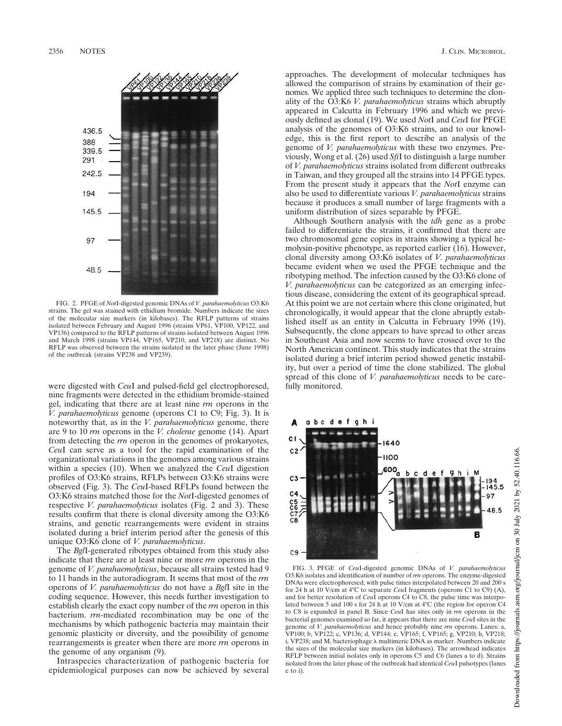

FIG. 2. PFGE of *Not*I-digested genomic DNAs of *V. parahaemolyticus* O3:K6 strains. The gel was stained with ethidium bromide. Numbers indicate the sizes of the molecular size markers (in kilobases). The RFLP patterns of strains isolated between February and August 1996 (strains VP61, VP100, VP122, and VP136) compared to the RFLP patterns of strains isolated between August 1996 and March 1998 (strains VP144, VP165, VP210, and VP218) are distinct. No RFLP was observed between the strains isolated in the later phase (June 1998) of the outbreak (strains VP238 and VP239).

were digested with *Ceu*I and pulsed-field gel electrophoresed, nine fragments were detected in the ethidium bromide-stained gel, indicating that there are at least nine *rrn* operons in the *V. parahaemolyticus* genome (operons C1 to C9; Fig. 3). It is noteworthy that, as in the *V. parahaemolyticus* genome, there are 9 to 10 *rrn* operons in the *V. cholerae* genome (14). Apart from detecting the *rrn* operon in the genomes of prokaryotes, *Ceu*I can serve as a tool for the rapid examination of the organizational variations in the genomes among various strains within a species (10). When we analyzed the *Ceu*I digestion profiles of O3:K6 strains, RFLPs between O3:K6 strains were observed (Fig. 3). The *Ceu*I-based RFLPs found between the O3:K6 strains matched those for the *Not*I-digested genomes of respective *V. parahaemolyticus* isolates (Fig. 2 and 3). These results confirm that there is clonal diversity among the O3:K6 strains, and genetic rearrangements were evident in strains isolated during a brief interim period after the genesis of this unique O3:K6 clone of *V. parahaemolyticus*.

The *Bgl*I-generated ribotypes obtained from this study also indicate that there are at least nine or more *rrn* operons in the genome of *V. parahaemolyticus*, because all strains tested had 9 to 11 bands in the autoradiogram. It seems that most of the *rrn* operons of *V. parahaemolyticus* do not have a *Bgl*I site in the coding sequence. However, this needs further investigation to establish clearly the exact copy number of the *rrn* operon in this bacterium. *rrn*-mediated recombination may be one of the mechanisms by which pathogenic bacteria may maintain their genomic plasticity or diversity, and the possibility of genome rearrangements is greater when there are more *rrn* operons in the genome of any organism (9).

Intraspecies characterization of pathogenic bacteria for epidemiological purposes can now be achieved by several approaches. The development of molecular techniques has allowed the comparison of strains by examination of their genomes. We applied three such techniques to determine the clonality of the O3:K6 *V. parahaemolyticus* strains which abruptly appeared in Calcutta in February 1996 and which we previously defined as clonal (19). We used *Not*I and *Ceu*I for PFGE analysis of the genomes of O3:K6 strains, and to our knowledge, this is the first report to describe an analysis of the genome of *V. parahaemolyticus* with these two enzymes. Previously, Wong et al. (26) used *Sfi*I to distinguish a large number of *V. parahaemolyticus* strains isolated from different outbreaks in Taiwan, and they grouped all the strains into 14 PFGE types. From the present study it appears that the *Not*I enzyme can also be used to differentiate various *V. parahaemolyticus* strains because it produces a small number of large fragments with a uniform distribution of sizes separable by PFGE.

Although Southern analysis with the *tdh* gene as a probe failed to differentiate the strains, it confirmed that there are two chromosomal gene copies in strains showing a typical hemolysin-positive phenotype, as reported earlier (16). However, clonal diversity among O3:K6 isolates of *V. parahaemolyticus* became evident when we used the PFGE technique and the ribotyping method. The infection caused by the O3:K6 clone of *V. parahaemolyticus* can be categorized as an emerging infectious disease, considering the extent of its geographical spread. At this point we are not certain where this clone originated, but chronologically, it would appear that the clone abruptly established itself as an entity in Calcutta in February 1996 (19). Subsequently, the clone appears to have spread to other areas in Southeast Asia and now seems to have crossed over to the North American continent. This study indicates that the strains isolated during a brief interim period showed genetic instability, but over a period of time the clone stabilized. The global spread of this clone of *V. parahaemolyticus* needs to be carefully monitored.



FIG. 3. PFGE of *Ceu*I-digested genomic DNAs of *V. parahaemolyticus* O3:K6 isolates and identification of number of *rrn* operons. The enzyme-digested DNAs were electrophoresed, with pulse times interpolated between 20 and 200 s for 24 h at 10 V/cm at 4°C to separate *Ceu*I fragments (operons C1 to C9) (A), and for better resolution of *Ceu*I operons C4 to C8, the pulse time was interpolated between 5 and 100 s for 24 h at 10 V/cm at 4°C (the region for operon C4 to C8 is expanded in panel B. Since *Ceu*I has sites only in *rrn* operons in the bacterial genomes examined so far, it appears that there are nine *Ceu*I sites in the genome of *V. parahaemolyticus* and hence probably nine *rrn* operons. Lanes: a, VP100; b, VP122; c, VP136; d, VP144; e, VP165; f, VP165; g, VP210; h, VP218; i, VP238; and M, bacteriophage  $\lambda$  multimeric DNA as marker. Numbers indicate the sizes of the molecular size markers (in kilobases). The arrowhead indicates RFLP between initial isolates only in operons C5 and C6 (lanes a to d). Strains isolated from the later phase of the outbreak had identical *Ceu*I pulsotypes (lanes e to i).